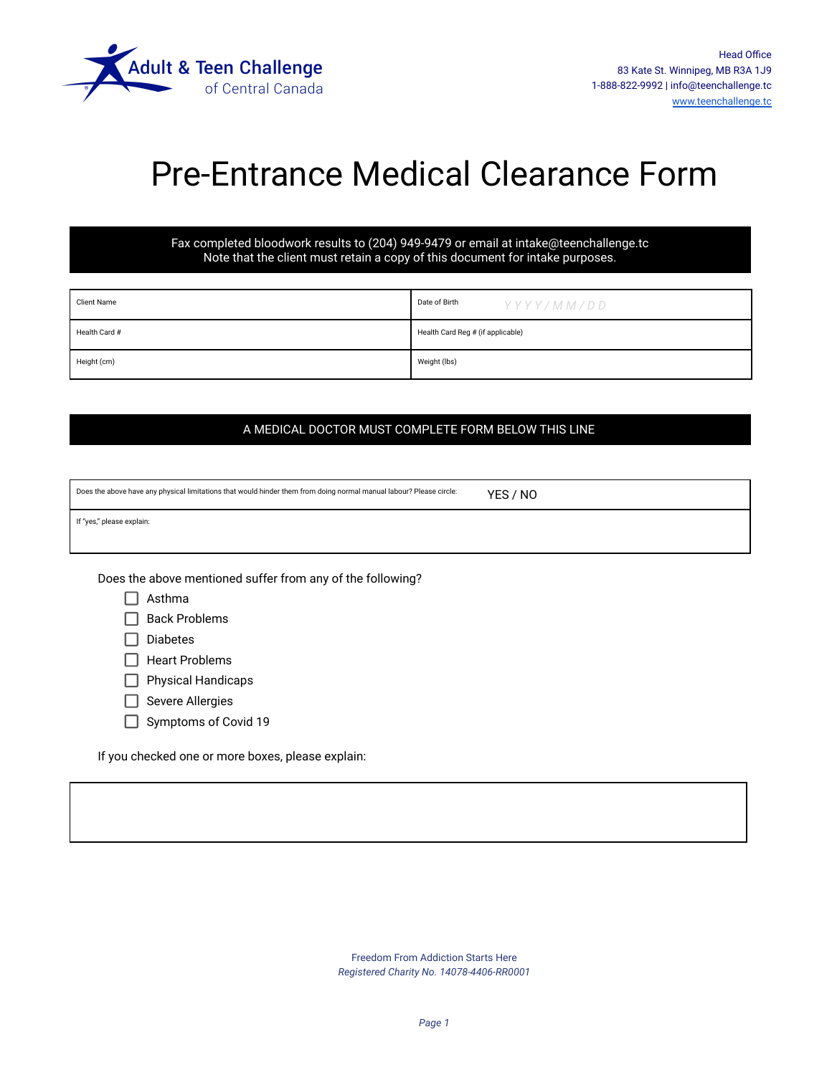

## Pre-Entrance Medical Clearance Form

Fax completed bloodwork results to (204) 949-9479 or email at intake@teenchallenge.tc Note that the client must retain a copy of this document for intake purposes.

| <b>Client Name</b> | Date of Birth<br>YYYY/MM/DD       |  |
|--------------------|-----------------------------------|--|
| Health Card #      | Health Card Reg # (if applicable) |  |
| Height (cm)        | Weight (lbs)                      |  |

### A MEDICAL DOCTOR MUST COMPLETE FORM BELOW THIS LINE

| Does the above have any physical limitations that would hinder them from doing normal manual labour? Please circle: | YES / NO |  |
|---------------------------------------------------------------------------------------------------------------------|----------|--|
|                                                                                                                     |          |  |

If "yes," please explain:

Does the above mentioned suffer from any of the following?

 $\Box$  Back Problems

 $\Box$  Diabetes

 $\Box$  Heart Problems

 $\Box$  Physical Handicaps

- $\Box$  Severe Allergies
- Symptoms of Covid 19

If you checked one or more boxes, please explain:

Freedom From Addiction Starts Here *Registered Charity No. 14078-4406-RR0001*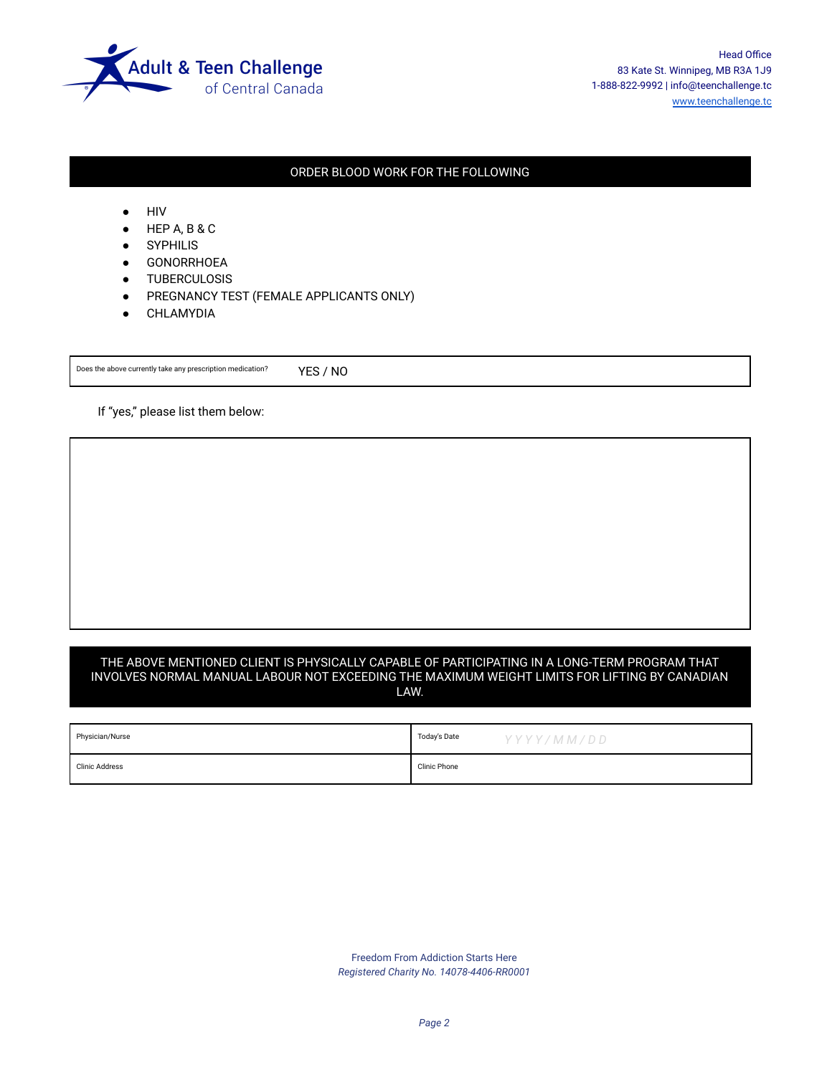

Head Office 83 Kate St. Winnipeg, MB R3A 1J9 1-888-822-9992 | info@teenchallenge.tc [www.teenchallenge.tc](http://www.teenchallenge.tc)

### ORDER BLOOD WORK FOR THE FOLLOWING

- HIV
- $HEP$  A, B & C
- **SYPHILIS**
- GONORRHOEA
- TUBERCULOSIS
- PREGNANCY TEST (FEMALE APPLICANTS ONLY)
- CHLAMYDIA

Does the above currently take any prescription medication? YES / NO

If "yes," please list them below:

#### THE ABOVE MENTIONED CLIENT IS PHYSICALLY CAPABLE OF PARTICIPATING IN A LONG-TERM PROGRAM THAT INVOLVES NORMAL MANUAL LABOUR NOT EXCEEDING THE MAXIMUM WEIGHT LIMITS FOR LIFTING BY CANADIAN LAW.

| Physician/Nurse | Today's Date | YYYY/MM/DD |
|-----------------|--------------|------------|
| Clinic Address  | Clinic Phone |            |

Freedom From Addiction Starts Here *Registered Charity No. 14078-4406-RR0001*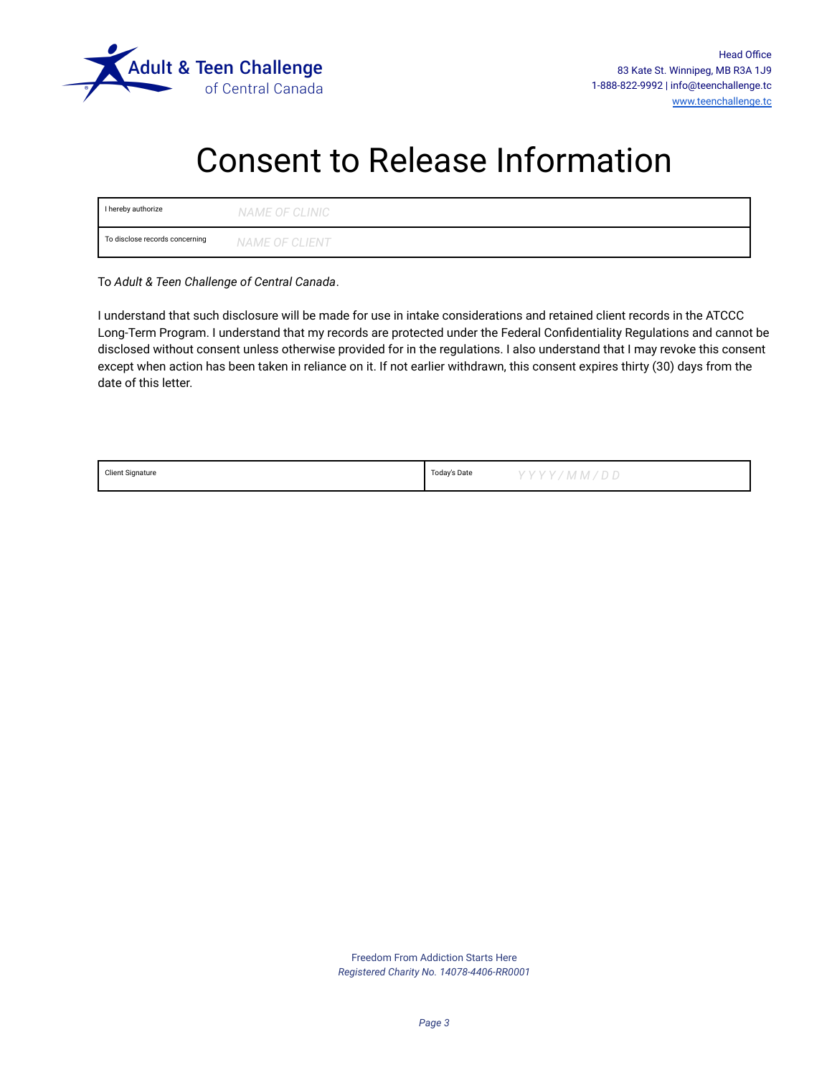

## Consent to Release Information

| I hereby authorize             | NAME OF CLINIC |
|--------------------------------|----------------|
| To disclose records concerning | NAME OF CLIENT |

To *Adult & Teen Challenge of Central Canada*.

I understand that such disclosure will be made for use in intake considerations and retained client records in the ATCCC Long-Term Program. I understand that my records are protected under the Federal Confidentiality Regulations and cannot be disclosed without consent unless otherwise provided for in the regulations. I also understand that I may revoke this consent except when action has been taken in reliance on it. If not earlier withdrawn, this consent expires thirty (30) days from the date of this letter.

| <b>Client Signature</b> | Todav's Date | YYYY/MM/DD |
|-------------------------|--------------|------------|
|                         |              |            |

Freedom From Addiction Starts Here *Registered Charity No. 14078-4406-RR0001*